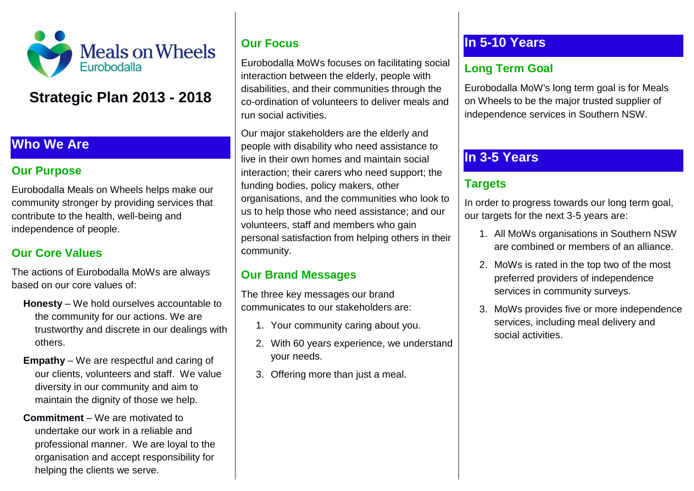

# **Strategic Plan 2013 - 2018**

#### **Who We Are**

#### **Our Purpose**

Eurobodalla Meals on Wheels helps make our community stronger by providing services that contribute to the health, well-being and independence of people.

## **Our Core Values**

The actions of Eurobodalla MoWs are always based on our core values of:

- **Honesty** We hold ourselves accountable to the community for our actions. We are trustworthy and discrete in our dealings with others.
- **Empathy** We are respectful and caring of our clients, volunteers and staff. We value diversity in our community and aim to maintain the dignity of those we help.
- **Commitment** We are motivated to undertake our work in a reliable and professional manner. We are loyal to the organisation and accept responsibility for helping the clients we serve.

#### **Our Focus**

Eurobodalla MoWs focuses on facilitating social interaction between the elderly, people with disabilities, and their communities through the co-ordination of volunteers to deliver meals and run social activities.

Our major stakeholders are the elderly and people with disability who need assistance to live in their own homes and maintain social interaction; their carers who need support; the funding bodies, policy makers, other organisations, and the communities who look to us to help those who need assistance; and our volunteers, staff and members who gain personal satisfaction from helping others in their community.

## **Our Brand Messages**

The three key messages our brand communicates to our stakeholders are:

- 1. Your community caring about you.
- 2. With 60 years experience, we understand your needs.
- 3. Offering more than just a meal.

## **In 5-10 Years**

## **Long Term Goal**

Eurobodalla MoW's long term goal is for Meals on Wheels to be the major trusted supplier of independence services in Southern NSW.

## **In 3-5 Years**

## **Targets**

In order to progress towards our long term goal, our targets for the next 3-5 years are:

- 1. All MoWs organisations in Southern NSW are combined or members of an alliance.
- 2. MoWs is rated in the top two of the most preferred providers of independence services in community surveys.
- 3. MoWs provides five or more independence services, including meal delivery and social activities.